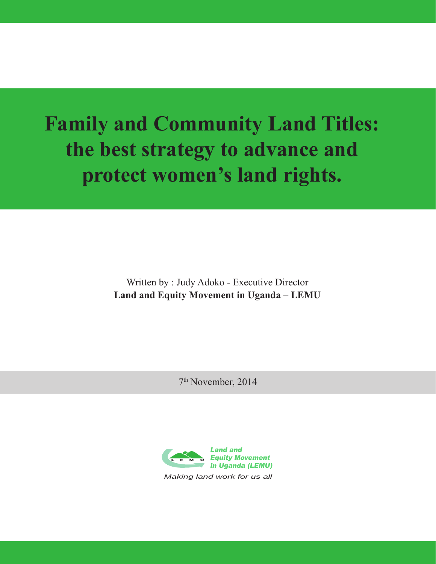# **Family and Community Land Titles: the best strategy to advance and protect women's land rights.**

Written by : Judy Adoko - Executive Director **Land and Equity Movement in Uganda – LEMU**

7th November, 2014

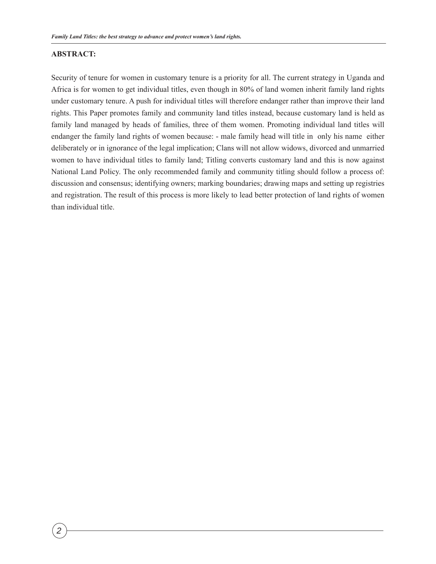#### **ABSTRACT:**

Security of tenure for women in customary tenure is a priority for all. The current strategy in Uganda and Africa is for women to get individual titles, even though in 80% of land women inherit family land rights under customary tenure. A push for individual titles will therefore endanger rather than improve their land rights. This Paper promotes family and community land titles instead, because customary land is held as family land managed by heads of families, three of them women. Promoting individual land titles will endanger the family land rights of women because: - male family head will title in only his name either deliberately or in ignorance of the legal implication; Clans will not allow widows, divorced and unmarried women to have individual titles to family land; Titling converts customary land and this is now against National Land Policy. The only recommended family and community titling should follow a process of: discussion and consensus; identifying owners; marking boundaries; drawing maps and setting up registries and registration. The result of this process is more likely to lead better protection of land rights of women than individual title.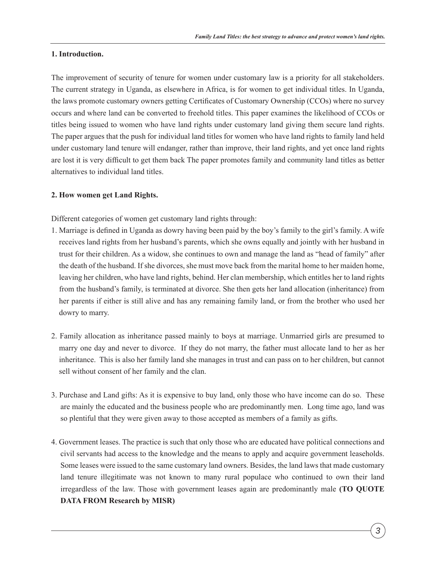#### **1. Introduction.**

The improvement of security of tenure for women under customary law is a priority for all stakeholders. The current strategy in Uganda, as elsewhere in Africa, is for women to get individual titles. In Uganda, the laws promote customary owners getting Certificates of Customary Ownership (CCOs) where no survey occurs and where land can be converted to freehold titles. This paper examines the likelihood of CCOs or titles being issued to women who have land rights under customary land giving them secure land rights. The paper argues that the push for individual land titles for women who have land rights to family land held under customary land tenure will endanger, rather than improve, their land rights, and yet once land rights are lost it is very difficult to get them back The paper promotes family and community land titles as better alternatives to individual land titles.

#### **2. How women get Land Rights.**

Different categories of women get customary land rights through:

- 1. Marriage is defined in Uganda as dowry having been paid by the boy's family to the girl's family. A wife receives land rights from her husband's parents, which she owns equally and jointly with her husband in trust for their children. As a widow, she continues to own and manage the land as "head of family" after the death of the husband. If she divorces, she must move back from the marital home to her maiden home, leaving her children, who have land rights, behind. Her clan membership, which entitles her to land rights from the husband's family, is terminated at divorce. She then gets her land allocation (inheritance) from her parents if either is still alive and has any remaining family land, or from the brother who used her dowry to marry.
- 2. Family allocation as inheritance passed mainly to boys at marriage. Unmarried girls are presumed to marry one day and never to divorce. If they do not marry, the father must allocate land to her as her inheritance. This is also her family land she manages in trust and can pass on to her children, but cannot sell without consent of her family and the clan.
- 3. Purchase and Land gifts: As it is expensive to buy land, only those who have income can do so. These are mainly the educated and the business people who are predominantly men. Long time ago, land was so plentiful that they were given away to those accepted as members of a family as gifts.
- 4. Government leases. The practice is such that only those who are educated have political connections and civil servants had access to the knowledge and the means to apply and acquire government leaseholds. Some leases were issued to the same customary land owners. Besides, the land laws that made customary land tenure illegitimate was not known to many rural populace who continued to own their land irregardless of the law. Those with government leases again are predominantly male **(TO QUOTE DATA FROM Research by MISR)**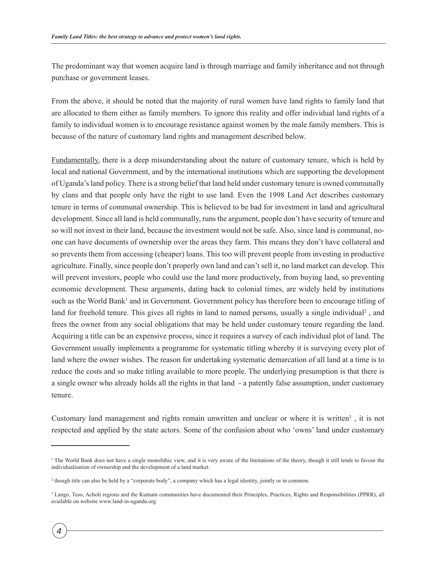The predominant way that women acquire land is through marriage and family inheritance and not through purchase or government leases.

From the above, it should be noted that the majority of rural women have land rights to family land that are allocated to them either as family members. To ignore this reality and offer individual land rights of a family to individual women is to encourage resistance against women by the male family members. This is because of the nature of customary land rights and management described below.

Fundamentally, there is a deep misunderstanding about the nature of customary tenure, which is held by local and national Government, and by the international institutions which are supporting the development of Uganda's land policy. There is a strong belief that land held under customary tenure is owned communally by clans and that people only have the right to use land. Even the 1998 Land Act describes customary tenure in terms of communal ownership. This is believed to be bad for investment in land and agricultural development. Since all land is held communally, runs the argument, people don't have security of tenure and so will not invest in their land, because the investment would not be safe. Also, since land is communal, noone can have documents of ownership over the areas they farm. This means they don't have collateral and so prevents them from accessing (cheaper) loans. This too will prevent people from investing in productive agriculture. Finally, since people don't properly own land and can't sell it, no land market can develop. This will prevent investors, people who could use the land more productively, from buying land, so preventing economic development. These arguments, dating back to colonial times, are widely held by institutions such as the World Bank<sup>1</sup> and in Government. Government policy has therefore been to encourage titling of land for freehold tenure. This gives all rights in land to named persons, usually a single individual<sup>2</sup>, and frees the owner from any social obligations that may be held under customary tenure regarding the land. Acquiring a title can be an expensive process, since it requires a survey of each individual plot of land. The Government usually implements a programme for systematic titling whereby it is surveying every plot of land where the owner wishes. The reason for undertaking systematic demarcation of all land at a time is to reduce the costs and so make titling available to more people. The underlying presumption is that there is a single owner who already holds all the rights in that land - a patently false assumption, under customary tenure.

Customary land management and rights remain unwritten and unclear or where it is written<sup>3</sup>, it is not respected and applied by the state actors. Some of the confusion about who 'owns' land under customary

<sup>1</sup> The World Bank does not have a single monolithic view, and it is very aware of the limitations of the theory, though it still tends to favour the individualisation of ownership and the development of a land market.

<sup>2</sup> though title can also be held by a "corporate body", a company which has a legal identity, jointly or in common.

<sup>&</sup>lt;sup>3</sup> Lango, Teso, Acholi regions and the Kumam communities have documented their Principles, Practices, Rights and Responsibilities (PPRR), all available on website www.land-in-uganda.org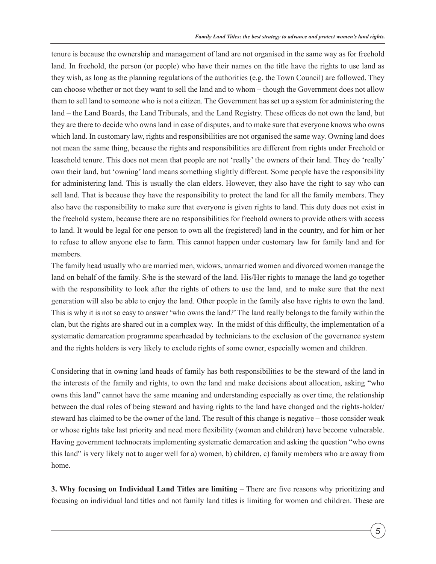tenure is because the ownership and management of land are not organised in the same way as for freehold land. In freehold, the person (or people) who have their names on the title have the rights to use land as they wish, as long as the planning regulations of the authorities (e.g. the Town Council) are followed. They can choose whether or not they want to sell the land and to whom – though the Government does not allow them to sell land to someone who is not a citizen. The Government has set up a system for administering the land – the Land Boards, the Land Tribunals, and the Land Registry. These offices do not own the land, but they are there to decide who owns land in case of disputes, and to make sure that everyone knows who owns which land. In customary law, rights and responsibilities are not organised the same way. Owning land does not mean the same thing, because the rights and responsibilities are different from rights under Freehold or leasehold tenure. This does not mean that people are not 'really' the owners of their land. They do 'really' own their land, but 'owning' land means something slightly different. Some people have the responsibility for administering land. This is usually the clan elders. However, they also have the right to say who can sell land. That is because they have the responsibility to protect the land for all the family members. They also have the responsibility to make sure that everyone is given rights to land. This duty does not exist in the freehold system, because there are no responsibilities for freehold owners to provide others with access to land. It would be legal for one person to own all the (registered) land in the country, and for him or her to refuse to allow anyone else to farm. This cannot happen under customary law for family land and for members.

The family head usually who are married men, widows, unmarried women and divorced women manage the land on behalf of the family. S/he is the steward of the land. His/Her rights to manage the land go together with the responsibility to look after the rights of others to use the land, and to make sure that the next generation will also be able to enjoy the land. Other people in the family also have rights to own the land. This is why it is not so easy to answer 'who owns the land?' The land really belongs to the family within the clan, but the rights are shared out in a complex way. In the midst of this difficulty, the implementation of a systematic demarcation programme spearheaded by technicians to the exclusion of the governance system and the rights holders is very likely to exclude rights of some owner, especially women and children.

Considering that in owning land heads of family has both responsibilities to be the steward of the land in the interests of the family and rights, to own the land and make decisions about allocation, asking "who owns this land" cannot have the same meaning and understanding especially as over time, the relationship between the dual roles of being steward and having rights to the land have changed and the rights-holder/ steward has claimed to be the owner of the land. The result of this change is negative – those consider weak or whose rights take last priority and need more flexibility (women and children) have become vulnerable. Having government technocrats implementing systematic demarcation and asking the question "who owns this land" is very likely not to auger well for a) women, b) children, c) family members who are away from home.

**3. Why focusing on Individual Land Titles are limiting** – There are five reasons why prioritizing and focusing on individual land titles and not family land titles is limiting for women and children. These are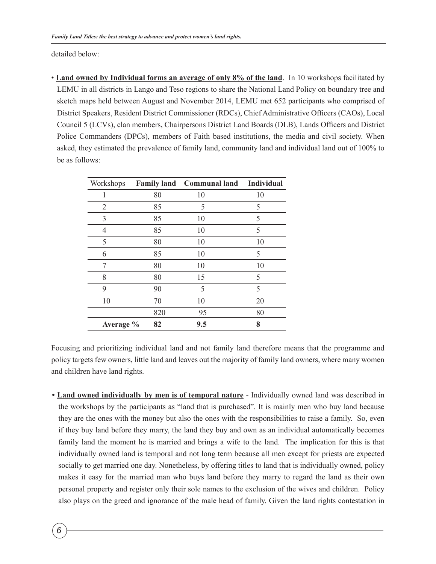detailed below:

• **Land owned by Individual forms an average of only 8% of the land**. In 10 workshops facilitated by LEMU in all districts in Lango and Teso regions to share the National Land Policy on boundary tree and sketch maps held between August and November 2014, LEMU met 652 participants who comprised of District Speakers, Resident District Commissioner (RDCs), Chief Administrative Officers (CAOs), Local Council 5 (LCVs), clan members, Chairpersons District Land Boards (DLB), Lands Officers and District Police Commanders (DPCs), members of Faith based institutions, the media and civil society. When asked, they estimated the prevalence of family land, community land and individual land out of 100% to be as follows:

| Workshops      |     | <b>Family land</b> Communal land | Individual |
|----------------|-----|----------------------------------|------------|
|                | 80  | 10                               | 10         |
| $\overline{2}$ | 85  | 5                                | 5          |
| 3              | 85  | 10                               | 5          |
| 4              | 85  | 10                               | 5          |
| 5              | 80  | 10                               | 10         |
| 6              | 85  | 10                               | 5          |
| 7              | 80  | 10                               | 10         |
| 8              | 80  | 15                               | 5          |
| 9              | 90  | 5                                | 5          |
| 10             | 70  | 10                               | 20         |
|                | 820 | 95                               | 80         |
| Average %      | 82  | 9.5                              | 8          |

Focusing and prioritizing individual land and not family land therefore means that the programme and policy targets few owners, little land and leaves out the majority of family land owners, where many women and children have land rights.

**• Land owned individually by men is of temporal nature** - Individually owned land was described in the workshops by the participants as "land that is purchased". It is mainly men who buy land because they are the ones with the money but also the ones with the responsibilities to raise a family. So, even if they buy land before they marry, the land they buy and own as an individual automatically becomes family land the moment he is married and brings a wife to the land. The implication for this is that individually owned land is temporal and not long term because all men except for priests are expected socially to get married one day. Nonetheless, by offering titles to land that is individually owned, policy makes it easy for the married man who buys land before they marry to regard the land as their own personal property and register only their sole names to the exclusion of the wives and children. Policy also plays on the greed and ignorance of the male head of family. Given the land rights contestation in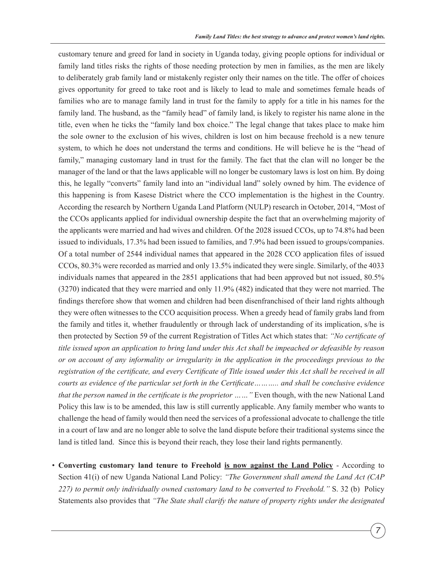customary tenure and greed for land in society in Uganda today, giving people options for individual or family land titles risks the rights of those needing protection by men in families, as the men are likely to deliberately grab family land or mistakenly register only their names on the title. The offer of choices gives opportunity for greed to take root and is likely to lead to male and sometimes female heads of families who are to manage family land in trust for the family to apply for a title in his names for the family land. The husband, as the "family head" of family land, is likely to register his name alone in the title, even when he ticks the "family land box choice." The legal change that takes place to make him the sole owner to the exclusion of his wives, children is lost on him because freehold is a new tenure system, to which he does not understand the terms and conditions. He will believe he is the "head of family," managing customary land in trust for the family. The fact that the clan will no longer be the manager of the land or that the laws applicable will no longer be customary laws is lost on him. By doing this, he legally "converts" family land into an "individual land" solely owned by him. The evidence of this happening is from Kasese District where the CCO implementation is the highest in the Country. According the research by Northern Uganda Land Platform (NULP) research in October, 2014, "Most of the CCOs applicants applied for individual ownership despite the fact that an overwhelming majority of the applicants were married and had wives and children. Of the 2028 issued CCOs, up to 74.8% had been issued to individuals, 17.3% had been issued to families, and 7.9% had been issued to groups/companies. Of a total number of 2544 individual names that appeared in the 2028 CCO application files of issued CCOs, 80.3% were recorded as married and only 13.5% indicated they were single. Similarly, of the 4033 individuals names that appeared in the 2851 applications that had been approved but not issued, 80.5% (3270) indicated that they were married and only 11.9% (482) indicated that they were not married. The findings therefore show that women and children had been disenfranchised of their land rights although they were often witnesses to the CCO acquisition process. When a greedy head of family grabs land from the family and titles it, whether fraudulently or through lack of understanding of its implication, s/he is then protected by Section 59 of the current Registration of Titles Act which states that: *"No certificate of title issued upon an application to bring land under this Act shall be impeached or defeasible by reason or on account of any informality or irregularity in the application in the proceedings previous to the registration of the certificate, and every Certificate of Title issued under this Act shall be received in all courts as evidence of the particular set forth in the Certificate……….. and shall be conclusive evidence that the person named in the certificate is the proprietor ……"* Even though, with the new National Land Policy this law is to be amended, this law is still currently applicable. Any family member who wants to challenge the head of family would then need the services of a professional advocate to challenge the title in a court of law and are no longer able to solve the land dispute before their traditional systems since the land is titled land. Since this is beyond their reach, they lose their land rights permanently.

• **Converting customary land tenure to Freehold is now against the Land Policy** - According to Section 41(i) of new Uganda National Land Policy: *"The Government shall amend the Land Act (CAP 227) to permit only individually owned customary land to be converted to Freehold."* S. 32 (b) Policy Statements also provides that *"The State shall clarify the nature of property rights under the designated*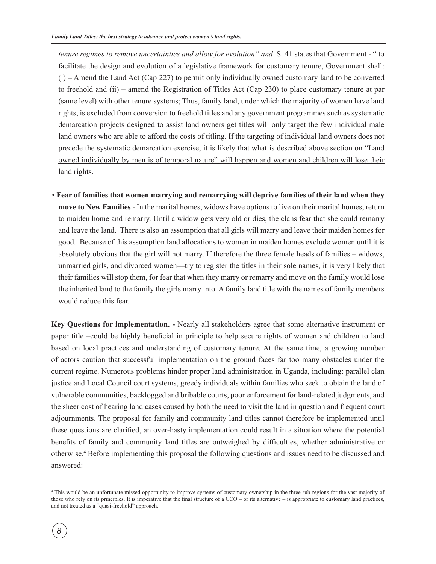*tenure regimes to remove uncertainties and allow for evolution" and* S. 41 states that Government - " to facilitate the design and evolution of a legislative framework for customary tenure, Government shall: (i) – Amend the Land Act (Cap 227) to permit only individually owned customary land to be converted to freehold and (ii) – amend the Registration of Titles Act (Cap 230) to place customary tenure at par (same level) with other tenure systems; Thus, family land, under which the majority of women have land rights, is excluded from conversion to freehold titles and any government programmes such as systematic demarcation projects designed to assist land owners get titles will only target the few individual male land owners who are able to afford the costs of titling. If the targeting of individual land owners does not precede the systematic demarcation exercise, it is likely that what is described above section on "Land owned individually by men is of temporal nature" will happen and women and children will lose their land rights.

• **Fear of families that women marrying and remarrying will deprive families of their land when they move to New Families** - In the marital homes, widows have options to live on their marital homes, return to maiden home and remarry. Until a widow gets very old or dies, the clans fear that she could remarry and leave the land. There is also an assumption that all girls will marry and leave their maiden homes for good. Because of this assumption land allocations to women in maiden homes exclude women until it is absolutely obvious that the girl will not marry. If therefore the three female heads of families – widows, unmarried girls, and divorced women—try to register the titles in their sole names, it is very likely that their families will stop them, for fear that when they marry or remarry and move on the family would lose the inherited land to the family the girls marry into. A family land title with the names of family members would reduce this fear.

**Key Questions for implementation. -** Nearly all stakeholders agree that some alternative instrument or paper title –could be highly beneficial in principle to help secure rights of women and children to land based on local practices and understanding of customary tenure. At the same time, a growing number of actors caution that successful implementation on the ground faces far too many obstacles under the current regime. Numerous problems hinder proper land administration in Uganda, including: parallel clan justice and Local Council court systems, greedy individuals within families who seek to obtain the land of vulnerable communities, backlogged and bribable courts, poor enforcement for land-related judgments, and the sheer cost of hearing land cases caused by both the need to visit the land in question and frequent court adjournments. The proposal for family and community land titles cannot therefore be implemented until these questions are clarified, an over-hasty implementation could result in a situation where the potential benefits of family and community land titles are outweighed by difficulties, whether administrative or otherwise.4 Before implementing this proposal the following questions and issues need to be discussed and answered:

<sup>4</sup> This would be an unfortunate missed opportunity to improve systems of customary ownership in the three sub-regions for the vast majority of those who rely on its principles. It is imperative that the final structure of a CCO – or its alternative – is appropriate to customary land practices, and not treated as a "quasi-freehold" approach.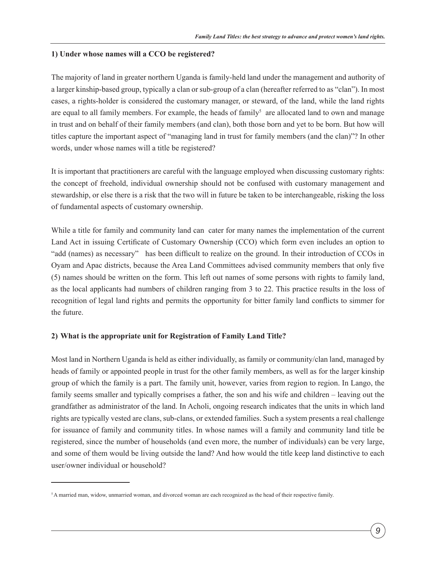#### **1) Under whose names will a CCO be registered?**

The majority of land in greater northern Uganda is family-held land under the management and authority of a larger kinship-based group, typically a clan or sub-group of a clan (hereafter referred to as "clan"). In most cases, a rights-holder is considered the customary manager, or steward, of the land, while the land rights are equal to all family members. For example, the heads of family<sup>5</sup> are allocated land to own and manage in trust and on behalf of their family members (and clan), both those born and yet to be born. But how will titles capture the important aspect of "managing land in trust for family members (and the clan)"? In other words, under whose names will a title be registered?

It is important that practitioners are careful with the language employed when discussing customary rights: the concept of freehold, individual ownership should not be confused with customary management and stewardship, or else there is a risk that the two will in future be taken to be interchangeable, risking the loss of fundamental aspects of customary ownership.

While a title for family and community land can cater for many names the implementation of the current Land Act in issuing Certificate of Customary Ownership (CCO) which form even includes an option to "add (names) as necessary" has been difficult to realize on the ground. In their introduction of CCOs in Oyam and Apac districts, because the Area Land Committees advised community members that only five (5) names should be written on the form. This left out names of some persons with rights to family land, as the local applicants had numbers of children ranging from 3 to 22. This practice results in the loss of recognition of legal land rights and permits the opportunity for bitter family land conflicts to simmer for the future.

#### **2) What is the appropriate unit for Registration of Family Land Title?**

Most land in Northern Uganda is held as either individually, as family or community/clan land, managed by heads of family or appointed people in trust for the other family members, as well as for the larger kinship group of which the family is a part. The family unit, however, varies from region to region. In Lango, the family seems smaller and typically comprises a father, the son and his wife and children – leaving out the grandfather as administrator of the land. In Acholi, ongoing research indicates that the units in which land rights are typically vested are clans, sub-clans, or extended families. Such a system presents a real challenge for issuance of family and community titles. In whose names will a family and community land title be registered, since the number of households (and even more, the number of individuals) can be very large, and some of them would be living outside the land? And how would the title keep land distinctive to each user/owner individual or household?

<sup>5</sup> A married man, widow, unmarried woman, and divorced woman are each recognized as the head of their respective family.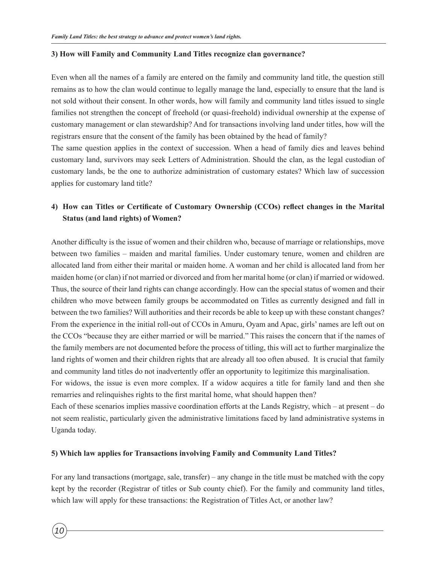#### **3) How will Family and Community Land Titles recognize clan governance?**

Even when all the names of a family are entered on the family and community land title, the question still remains as to how the clan would continue to legally manage the land, especially to ensure that the land is not sold without their consent. In other words, how will family and community land titles issued to single families not strengthen the concept of freehold (or quasi-freehold) individual ownership at the expense of customary management or clan stewardship? And for transactions involving land under titles, how will the registrars ensure that the consent of the family has been obtained by the head of family?

The same question applies in the context of succession. When a head of family dies and leaves behind customary land, survivors may seek Letters of Administration. Should the clan, as the legal custodian of customary lands, be the one to authorize administration of customary estates? Which law of succession applies for customary land title?

### **4) How can Titles or Certificate of Customary Ownership (CCOs) reflect changes in the Marital Status (and land rights) of Women?**

Another difficulty is the issue of women and their children who, because of marriage or relationships, move between two families – maiden and marital families. Under customary tenure, women and children are allocated land from either their marital or maiden home. A woman and her child is allocated land from her maiden home (or clan) if not married or divorced and from her marital home (or clan) if married or widowed. Thus, the source of their land rights can change accordingly. How can the special status of women and their children who move between family groups be accommodated on Titles as currently designed and fall in between the two families? Will authorities and their records be able to keep up with these constant changes? From the experience in the initial roll-out of CCOs in Amuru, Oyam and Apac, girls' names are left out on the CCOs "because they are either married or will be married." This raises the concern that if the names of the family members are not documented before the process of titling, this will act to further marginalize the land rights of women and their children rights that are already all too often abused. It is crucial that family and community land titles do not inadvertently offer an opportunity to legitimize this marginalisation.

For widows, the issue is even more complex. If a widow acquires a title for family land and then she remarries and relinquishes rights to the first marital home, what should happen then?

Each of these scenarios implies massive coordination efforts at the Lands Registry, which – at present – do not seem realistic, particularly given the administrative limitations faced by land administrative systems in Uganda today.

#### **5) Which law applies for Transactions involving Family and Community Land Titles?**

*10*

For any land transactions (mortgage, sale, transfer) – any change in the title must be matched with the copy kept by the recorder (Registrar of titles or Sub county chief). For the family and community land titles, which law will apply for these transactions: the Registration of Titles Act, or another law?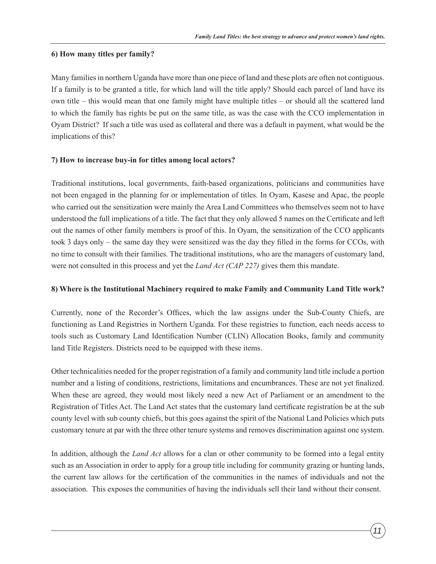#### **6) How many titles per family?**

Many families in northern Uganda have more than one piece of land and these plots are often not contiguous. If a family is to be granted a title, for which land will the title apply? Should each parcel of land have its own title – this would mean that one family might have multiple titles – or should all the scattered land to which the family has rights be put on the same title, as was the case with the CCO implementation in Oyam District? If such a title was used as collateral and there was a default in payment, what would be the implications of this?

#### **7) How to increase buy-in for titles among local actors?**

Traditional institutions, local governments, faith-based organizations, politicians and communities have not been engaged in the planning for or implementation of titles. In Oyam, Kasese and Apac, the people who carried out the sensitization were mainly the Area Land Committees who themselves seem not to have understood the full implications of a title. The fact that they only allowed 5 names on the Certificate and left out the names of other family members is proof of this. In Oyam, the sensitization of the CCO applicants took 3 days only – the same day they were sensitized was the day they filled in the forms for CCOs, with no time to consult with their families. The traditional institutions, who are the managers of customary land, were not consulted in this process and yet the *Land Act (CAP 227)* gives them this mandate.

#### **8) Where is the Institutional Machinery required to make Family and Community Land Title work?**

Currently, none of the Recorder's Offices, which the law assigns under the Sub-County Chiefs, are functioning as Land Registries in Northern Uganda. For these registries to function, each needs access to tools such as Customary Land Identification Number (CLIN) Allocation Books, family and community land Title Registers. Districts need to be equipped with these items.

Other technicalities needed for the proper registration of a family and community land title include a portion number and a listing of conditions, restrictions, limitations and encumbrances. These are not yet finalized. When these are agreed, they would most likely need a new Act of Parliament or an amendment to the Registration of Titles Act. The Land Act states that the customary land certificate registration be at the sub county level with sub county chiefs, but this goes against the spirit of the National Land Policies which puts customary tenure at par with the three other tenure systems and removes discrimination against one system.

In addition, although the *Land Act* allows for a clan or other community to be formed into a legal entity such as an Association in order to apply for a group title including for community grazing or hunting lands, the current law allows for the certification of the communities in the names of individuals and not the association. This exposes the communities of having the individuals sell their land without their consent.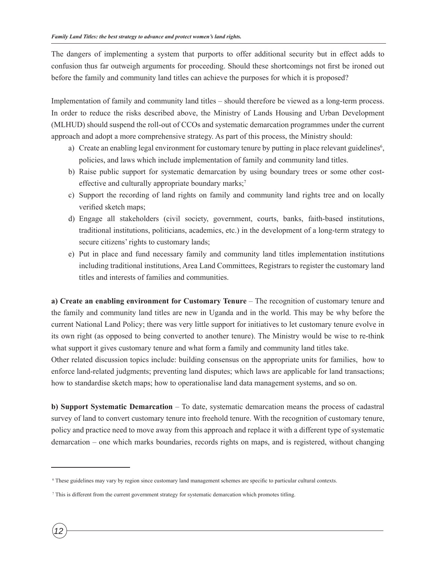The dangers of implementing a system that purports to offer additional security but in effect adds to confusion thus far outweigh arguments for proceeding. Should these shortcomings not first be ironed out before the family and community land titles can achieve the purposes for which it is proposed?

Implementation of family and community land titles – should therefore be viewed as a long-term process. In order to reduce the risks described above, the Ministry of Lands Housing and Urban Development (MLHUD) should suspend the roll-out of CCOs and systematic demarcation programmes under the current approach and adopt a more comprehensive strategy. As part of this process, the Ministry should:

- a) Create an enabling legal environment for customary tenure by putting in place relevant guidelines<sup>6</sup>, policies, and laws which include implementation of family and community land titles.
- b) Raise public support for systematic demarcation by using boundary trees or some other costeffective and culturally appropriate boundary marks;<sup>7</sup>
- c) Support the recording of land rights on family and community land rights tree and on locally verified sketch maps;
- d) Engage all stakeholders (civil society, government, courts, banks, faith-based institutions, traditional institutions, politicians, academics, etc.) in the development of a long-term strategy to secure citizens' rights to customary lands;
- e) Put in place and fund necessary family and community land titles implementation institutions including traditional institutions, Area Land Committees, Registrars to register the customary land titles and interests of families and communities.

**a) Create an enabling environment for Customary Tenure** – The recognition of customary tenure and the family and community land titles are new in Uganda and in the world. This may be why before the current National Land Policy; there was very little support for initiatives to let customary tenure evolve in its own right (as opposed to being converted to another tenure). The Ministry would be wise to re-think what support it gives customary tenure and what form a family and community land titles take.

Other related discussion topics include: building consensus on the appropriate units for families, how to enforce land-related judgments; preventing land disputes; which laws are applicable for land transactions; how to standardise sketch maps; how to operationalise land data management systems, and so on.

**b) Support Systematic Demarcation** – To date, systematic demarcation means the process of cadastral survey of land to convert customary tenure into freehold tenure. With the recognition of customary tenure, policy and practice need to move away from this approach and replace it with a different type of systematic demarcation – one which marks boundaries, records rights on maps, and is registered, without changing

<sup>6</sup> These guidelines may vary by region since customary land management schemes are specific to particular cultural contexts.

<sup>7</sup> This is different from the current government strategy for systematic demarcation which promotes titling.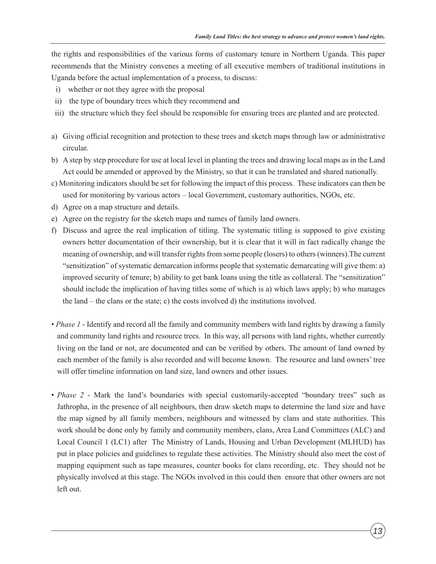the rights and responsibilities of the various forms of customary tenure in Northern Uganda. This paper recommends that the Ministry convenes a meeting of all executive members of traditional institutions in Uganda before the actual implementation of a process, to discuss:

- i) whether or not they agree with the proposal
- ii) the type of boundary trees which they recommend and
- iii) the structure which they feel should be responsible for ensuring trees are planted and are protected.
- a) Giving official recognition and protection to these trees and sketch maps through law or administrative circular.
- b) A step by step procedure for use at local level in planting the trees and drawing local maps as in the Land Act could be amended or approved by the Ministry, so that it can be translated and shared nationally.
- c) Monitoring indicators should be set for following the impact of this process. These indicators can then be used for monitoring by various actors – local Government, customary authorities, NGOs, etc.
- d) Agree on a map structure and details.
- e) Agree on the registry for the sketch maps and names of family land owners.
- f) Discuss and agree the real implication of titling. The systematic titling is supposed to give existing owners better documentation of their ownership, but it is clear that it will in fact radically change the meaning of ownership, and will transfer rights from some people (losers) to others (winners).The current "sensitization" of systematic demarcation informs people that systematic demarcating will give them: a) improved security of tenure; b) ability to get bank loans using the title as collateral. The "sensitization" should include the implication of having titles some of which is a) which laws apply; b) who manages the land – the clans or the state; c) the costs involved d) the institutions involved.
- *Phase 1* Identify and record all the family and community members with land rights by drawing a family and community land rights and resource trees. In this way, all persons with land rights, whether currently living on the land or not, are documented and can be verified by others. The amount of land owned by each member of the family is also recorded and will become known. The resource and land owners' tree will offer timeline information on land size, land owners and other issues.
- *Phase 2* Mark the land's boundaries with special customarily-accepted "boundary trees" such as Jathropha, in the presence of all neighbours, then draw sketch maps to determine the land size and have the map signed by all family members, neighbours and witnessed by clans and state authorities. This work should be done only by family and community members, clans, Area Land Committees (ALC) and Local Council 1 (LC1) after The Ministry of Lands, Housing and Urban Development (MLHUD) has put in place policies and guidelines to regulate these activities. The Ministry should also meet the cost of mapping equipment such as tape measures, counter books for clans recording, etc. They should not be physically involved at this stage. The NGOs involved in this could then ensure that other owners are not left out.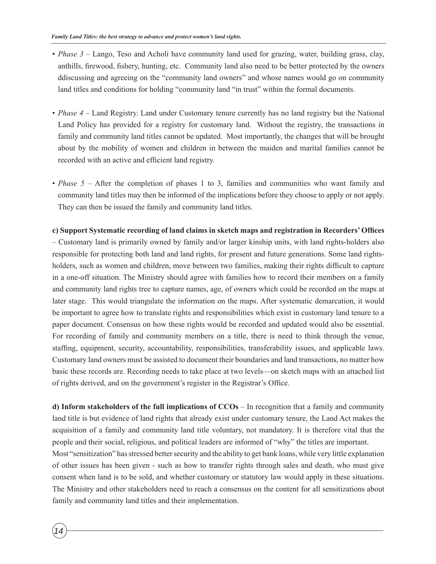- *Phase 3* Lango, Teso and Acholi have community land used for grazing, water, building grass, clay, anthills, firewood, fishery, hunting, etc. Community land also need to be better protected by the owners ddiscussing and agreeing on the "community land owners" and whose names would go on community land titles and conditions for holding "community land "in trust" within the formal documents.
- *Phase 4* Land Registry. Land under Customary tenure currently has no land registry but the National Land Policy has provided for a registry for customary land. Without the registry, the transactions in family and community land titles cannot be updated. Most importantly, the changes that will be brought about by the mobility of women and children in between the maiden and marital families cannot be recorded with an active and efficient land registry.
- *Phase 5* After the completion of phases 1 to 3, families and communities who want family and community land titles may then be informed of the implications before they choose to apply or not apply. They can then be issued the family and community land titles.

## **c) Support Systematic recording of land claims in sketch maps and registration in Recorders' Offices** – Customary land is primarily owned by family and/or larger kinship units, with land rights-holders also responsible for protecting both land and land rights, for present and future generations. Some land rightsholders, such as women and children, move between two families, making their rights difficult to capture in a one-off situation. The Ministry should agree with families how to record their members on a family and community land rights tree to capture names, age, of owners which could be recorded on the maps at later stage. This would triangulate the information on the maps. After systematic demarcation, it would be important to agree how to translate rights and responsibilities which exist in customary land tenure to a paper document. Consensus on how these rights would be recorded and updated would also be essential. For recording of family and community members on a title, there is need to think through the venue, staffing, equipment, security, accountability, responsibilities, transferability issues, and applicable laws. Customary land owners must be assisted to document their boundaries and land transactions, no matter how basic these records are. Recording needs to take place at two levels—on sketch maps with an attached list of rights derived, and on the government's register in the Registrar's Office.

**d) Inform stakeholders of the full implications of CCOs** – In recognition that a family and community land title is but evidence of land rights that already exist under customary tenure, the Land Act makes the acquisition of a family and community land title voluntary, not mandatory. It is therefore vital that the people and their social, religious, and political leaders are informed of "why" the titles are important. Most "sensitization" has stressed better security and the ability to get bank loans, while very little explanation of other issues has been given - such as how to transfer rights through sales and death, who must give consent when land is to be sold, and whether customary or statutory law would apply in these situations. The Ministry and other stakeholders need to reach a consensus on the content for all sensitizations about family and community land titles and their implementation.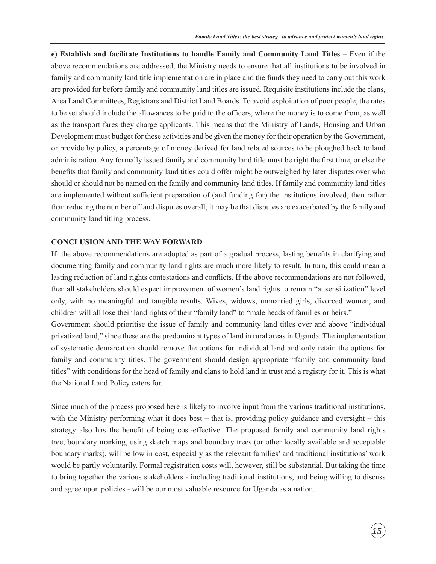**e) Establish and facilitate Institutions to handle Family and Community Land Titles** – Even if the above recommendations are addressed, the Ministry needs to ensure that all institutions to be involved in family and community land title implementation are in place and the funds they need to carry out this work are provided for before family and community land titles are issued. Requisite institutions include the clans, Area Land Committees, Registrars and District Land Boards. To avoid exploitation of poor people, the rates to be set should include the allowances to be paid to the officers, where the money is to come from, as well as the transport fares they charge applicants. This means that the Ministry of Lands, Housing and Urban Development must budget for these activities and be given the money for their operation by the Government, or provide by policy, a percentage of money derived for land related sources to be ploughed back to land administration. Any formally issued family and community land title must be right the first time, or else the benefits that family and community land titles could offer might be outweighed by later disputes over who should or should not be named on the family and community land titles. If family and community land titles are implemented without sufficient preparation of (and funding for) the institutions involved, then rather than reducing the number of land disputes overall, it may be that disputes are exacerbated by the family and community land titling process.

#### **CONCLUSION AND THE WAY FORWARD**

If the above recommendations are adopted as part of a gradual process, lasting benefits in clarifying and documenting family and community land rights are much more likely to result. In turn, this could mean a lasting reduction of land rights contestations and conflicts. If the above recommendations are not followed, then all stakeholders should expect improvement of women's land rights to remain "at sensitization" level only, with no meaningful and tangible results. Wives, widows, unmarried girls, divorced women, and children will all lose their land rights of their "family land" to "male heads of families or heirs." Government should prioritise the issue of family and community land titles over and above "individual privatized land," since these are the predominant types of land in rural areas in Uganda. The implementation of systematic demarcation should remove the options for individual land and only retain the options for family and community titles. The government should design appropriate "family and community land titles" with conditions for the head of family and clans to hold land in trust and a registry for it. This is what the National Land Policy caters for.

Since much of the process proposed here is likely to involve input from the various traditional institutions, with the Ministry performing what it does best – that is, providing policy guidance and oversight – this strategy also has the benefit of being cost-effective. The proposed family and community land rights tree, boundary marking, using sketch maps and boundary trees (or other locally available and acceptable boundary marks), will be low in cost, especially as the relevant families' and traditional institutions' work would be partly voluntarily. Formal registration costs will, however, still be substantial. But taking the time to bring together the various stakeholders - including traditional institutions, and being willing to discuss and agree upon policies - will be our most valuable resource for Uganda as a nation.